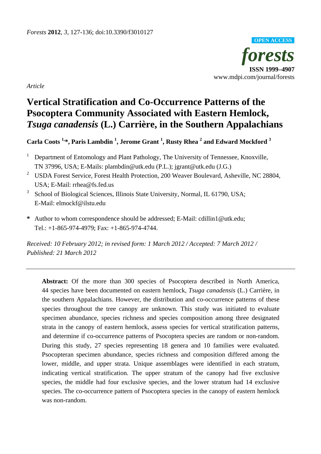

*Article* 

# **Vertical Stratification and Co-Occurrence Patterns of the Psocoptera Community Associated with Eastern Hemlock,**  *Tsuga canadensis* **(L.) Carrière, in the Southern Appalachians**

# **Carla Coots 1,\*, Paris Lambdin 1 , Jerome Grant <sup>1</sup> , Rusty Rhea 2 and Edward Mockford 3**

- 1 Department of Entomology and Plant Pathology, The University of Tennessee, Knoxville, TN 37996, USA; E-Mails: plambdin@utk.edu (P.L.); jgrant@utk.edu (J.G.)
- <sup>2</sup> USDA Forest Service, Forest Health Protection, 200 Weaver Boulevard, Asheville, NC 28804, USA; E-Mail: rrhea@fs.fed.us
- <sup>3</sup> School of Biological Sciences, Illinois State University, Normal, IL 61790, USA; E-Mail: elmockf@ilstu.edu
- **\*** Author to whom correspondence should be addressed; E-Mail: cdillin1@utk.edu; Tel.: +1-865-974-4979; Fax: +1-865-974-4744.

*Received: 10 February 2012; in revised form: 1 March 2012 / Accepted: 7 March 2012 / Published: 21 March 2012* 

**Abstract:** Of the more than 300 species of Psocoptera described in North America, 44 species have been documented on eastern hemlock, *Tsuga canadensis* (L.) Carrière, in the southern Appalachians. However, the distribution and co-occurrence patterns of these species throughout the tree canopy are unknown. This study was initiated to evaluate specimen abundance, species richness and species composition among three designated strata in the canopy of eastern hemlock, assess species for vertical stratification patterns, and determine if co-occurrence patterns of Psocoptera species are random or non-random. During this study, 27 species representing 18 genera and 10 families were evaluated. Psocopteran specimen abundance, species richness and composition differed among the lower, middle, and upper strata. Unique assemblages were identified in each stratum, indicating vertical stratification. The upper stratum of the canopy had five exclusive species, the middle had four exclusive species, and the lower stratum had 14 exclusive species. The co-occurrence pattern of Psocoptera species in the canopy of eastern hemlock was non-random.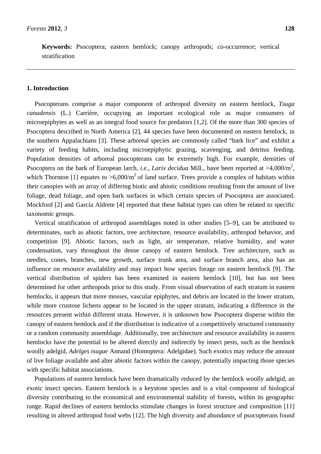**Keywords:** Psocoptera; eastern hemlock; canopy arthropods; co-occurrence; vertical stratification

# **1. Introduction**

Psocopterans comprise a major component of arthropod diversity on eastern hemlock, *Tsuga canadensis* (L.) Carrière, occupying an important ecological role as major consumers of microepiphytes as well as an integral food source for predators [1,2]. Of the more than 300 species of Psocoptera described in North America [2], 44 species have been documented on eastern hemlock, in the southern Appalachians [3]. These arboreal species are commonly called "bark lice" and exhibit a variety of feeding habits, including microepiphytic grazing, scavenging, and detritus feeding. Population densities of arboreal psocopterans can be extremely high. For example, densities of Psocoptera on the bark of European larch, *i.e.*, *Larix decidua* Mill., have been reported at >4,000/m<sup>2</sup>, which Thornton [1] equates to  $>6,000/m^2$  of land surface. Trees provide a complex of habitats within their canopies with an array of differing biotic and abiotic conditions resulting from the amount of live foliage, dead foliage, and open bark surfaces in which certain species of Psocoptera are associated. Mockford [2] and García Aldrete [4] reported that these habitat types can often be related to specific taxonomic groups.

Vertical stratification of arthropod assemblages noted in other studies [5–9], can be attributed to determinates, such as abiotic factors, tree architecture, resource availability, arthropod behavior, and competition [9]. Abiotic factors, such as light, air temperature, relative humidity, and water condensation, vary throughout the dense canopy of eastern hemlock. Tree architecture, such as needles, cones, branches, new growth, surface trunk area, and surface branch area, also has an influence on resource availability and may impact how species forage on eastern hemlock [9]. The vertical distribution of spiders has been examined in eastern hemlock [10], but has not been determined for other arthropods prior to this study. From visual observation of each stratum in eastern hemlocks, it appears that more mosses, vascular epiphytes, and debris are located in the lower stratum, while more crustose lichens appear to be located in the upper stratum, indicating a difference in the resources present within different strata. However, it is unknown how Psocoptera disperse within the canopy of eastern hemlock and if the distribution is indicative of a competitively structured community or a random community assemblage. Additionally, tree architecture and resource availability in eastern hemlocks have the potential to be altered directly and indirectly by insect pests, such as the hemlock woolly adelgid, *Adelges tsugae* Annand (Homoptera: Adelgidae). Such exotics may reduce the amount of live foliage available and alter abiotic factors within the canopy, potentially impacting those species with specific habitat associations.

Populations of eastern hemlock have been dramatically reduced by the hemlock woolly adelgid, an exotic insect species. Eastern hemlock is a keystone species and is a vital component of biological diversity contributing to the economical and environmental stability of forests, within its geographic range. Rapid declines of eastern hemlocks stimulate changes in forest structure and composition [11] resulting in altered arthropod food webs [12]. The high diversity and abundance of psocopterans found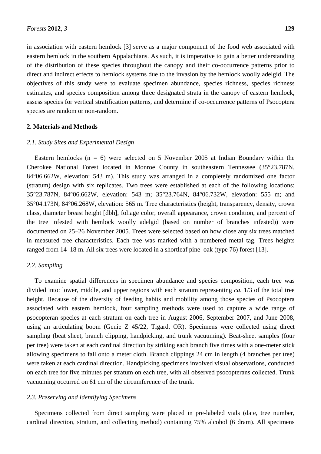in association with eastern hemlock [3] serve as a major component of the food web associated with eastern hemlock in the southern Appalachians. As such, it is imperative to gain a better understanding of the distribution of these species throughout the canopy and their co-occurrence patterns prior to direct and indirect effects to hemlock systems due to the invasion by the hemlock woolly adelgid. The objectives of this study were to evaluate specimen abundance, species richness, species richness estimates, and species composition among three designated strata in the canopy of eastern hemlock, assess species for vertical stratification patterns, and determine if co-occurrence patterns of Psocoptera species are random or non-random.

# **2. Materials and Methods**

### *2.1. Study Sites and Experimental Design*

Eastern hemlocks ( $n = 6$ ) were selected on 5 November 2005 at Indian Boundary within the Cherokee National Forest located in Monroe County in southeastern Tennessee (35°23.787N, 84°06.662W, elevation: 543 m). This study was arranged in a completely randomized one factor (stratum) design with six replicates. Two trees were established at each of the following locations: 35°23.787N, 84°06.662W, elevation: 543 m; 35°23.764N, 84°06.732W, elevation: 555 m; and 35°04.173N, 84°06.268W, elevation: 565 m. Tree characteristics (height, transparency, density, crown class, diameter breast height [dbh], foliage color, overall appearance, crown condition, and percent of the tree infested with hemlock woolly adelgid (based on number of branches infested)) were documented on 25–26 November 2005. Trees were selected based on how close any six trees matched in measured tree characteristics. Each tree was marked with a numbered metal tag. Trees heights ranged from 14–18 m. All six trees were located in a shortleaf pine–oak (type 76) forest [13].

# *2.2. Sampling*

To examine spatial differences in specimen abundance and species composition, each tree was divided into: lower, middle, and upper regions with each stratum representing *ca.* 1/3 of the total tree height. Because of the diversity of feeding habits and mobility among those species of Psocoptera associated with eastern hemlock, four sampling methods were used to capture a wide range of psocopteran species at each stratum on each tree in August 2006, September 2007, and June 2008, using an articulating boom (Genie Z 45/22, Tigard, OR). Specimens were collected using direct sampling (beat sheet, branch clipping, handpicking, and trunk vacuuming). Beat-sheet samples (four per tree) were taken at each cardinal direction by striking each branch five times with a one-meter stick allowing specimens to fall onto a meter cloth. Branch clippings 24 cm in length (4 branches per tree) were taken at each cardinal direction. Handpicking specimens involved visual observations, conducted on each tree for five minutes per stratum on each tree, with all observed psocopterans collected. Trunk vacuuming occurred on 61 cm of the circumference of the trunk.

# *2.3. Preserving and Identifying Specimens*

Specimens collected from direct sampling were placed in pre-labeled vials (date, tree number, cardinal direction, stratum, and collecting method) containing 75% alcohol (6 dram). All specimens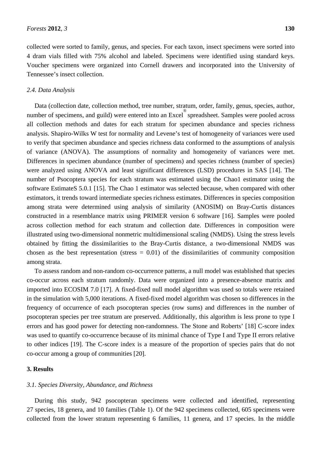collected were sorted to family, genus, and species. For each taxon, insect specimens were sorted into 4 dram vials filled with 75% alcohol and labeled. Specimens were identified using standard keys. Voucher specimens were organized into Cornell drawers and incorporated into the University of Tennessee's insect collection.

#### *2.4. Data Analysis*

Data (collection date, collection method, tree number, stratum, order, family, genus, species, author, number of specimens, and guild) were entered into an Excel<sup>®</sup> spreadsheet. Samples were pooled across all collection methods and dates for each stratum for specimen abundance and species richness analysis. Shapiro-Wilks W test for normality and Levene's test of homogeneity of variances were used to verify that specimen abundance and species richness data conformed to the assumptions of analysis of variance (ANOVA). The assumptions of normality and homogeneity of variances were met. Differences in specimen abundance (number of specimens) and species richness (number of species) were analyzed using ANOVA and least significant differences (LSD) procedures in SAS [14]. The number of Psocoptera species for each stratum was estimated using the Chao1 estimator using the software EstimateS 5.0.1 [15]. The Chao 1 estimator was selected because, when compared with other estimators, it trends toward intermediate species richness estimates. Differences in species composition among strata were determined using analysis of similarity (ANOSIM) on Bray-Curtis distances constructed in a resemblance matrix using PRIMER version 6 software [16]. Samples were pooled across collection method for each stratum and collection date. Differences in composition were illustrated using two-dimensional nonmetric multidimensional scaling (NMDS). Using the stress levels obtained by fitting the dissimilarities to the Bray-Curtis distance, a two-dimensional NMDS was chosen as the best representation (stress  $= 0.01$ ) of the dissimilarities of community composition among strata.

To assess random and non-random co-occurrence patterns, a null model was established that species co-occur across each stratum randomly. Data were organized into a presence-absence matrix and imported into ECOSIM 7.0 [17]. A fixed-fixed null model algorithm was used so totals were retained in the simulation with 5,000 iterations. A fixed-fixed model algorithm was chosen so differences in the frequency of occurrence of each psocopteran species (row sums) and differences in the number of psocopteran species per tree stratum are preserved. Additionally, this algorithm is less prone to type I errors and has good power for detecting non-randomness. The Stone and Roberts' [18] C-score index was used to quantify co-occurrence because of its minimal chance of Type I and Type II errors relative to other indices [19]. The C-score index is a measure of the proportion of species pairs that do not co-occur among a group of communities [20].

#### **3. Results**

#### *3.1. Species Diversity, Abundance, and Richness*

During this study, 942 psocopteran specimens were collected and identified, representing 27 species, 18 genera, and 10 families (Table 1). Of the 942 specimens collected, 605 specimens were collected from the lower stratum representing 6 families, 11 genera, and 17 species. In the middle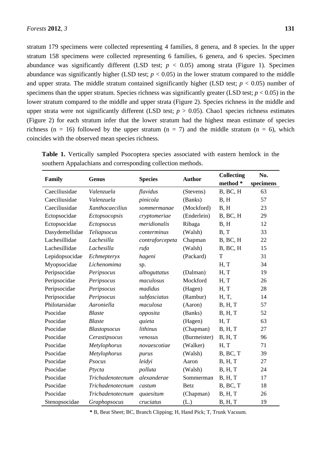stratum 179 specimens were collected representing 4 families, 8 genera, and 8 species. In the upper stratum 158 specimens were collected representing 6 families, 6 genera, and 6 species. Specimen abundance was significantly different (LSD test;  $p < 0.05$ ) among strata (Figure 1). Specimen abundance was significantly higher (LSD test;  $p < 0.05$ ) in the lower stratum compared to the middle and upper strata. The middle stratum contained significantly higher (LSD test;  $p < 0.05$ ) number of specimens than the upper stratum. Species richness was significantly greater (LSD test;  $p < 0.05$ ) in the lower stratum compared to the middle and upper strata (Figure 2). Species richness in the middle and upper strata were not significantly different (LSD test;  $p > 0.05$ ). Chao1 species richness estimates (Figure 2) for each stratum infer that the lower stratum had the highest mean estimate of species richness (n = 16) followed by the upper stratum (n = 7) and the middle stratum (n = 6), which coincides with the observed mean species richness.

| Family         | Genus               | <b>Species</b>  | <b>Author</b> | <b>Collecting</b> | No.       |
|----------------|---------------------|-----------------|---------------|-------------------|-----------|
|                |                     |                 |               | method *          | specimens |
| Caeciliusidae  | Valenzuela          | flavidus        | (Stevens)     | B, BC, H          | 63        |
| Caeciliusidae  | Valenzuela          | pinicola        | (Banks)       | B, H              | 57        |
| Caeciliusidae  | Xanthocaecilius     | sommermanae     | (Mockford)    | B, H              | 23        |
| Ectopsocidae   | Ectopsocopsis       | cryptomeriae    | (Enderlein)   | B, BC, H          | 29        |
| Ectopsocidae   | Ectopsocus          | meridionalis    | Ribaga        | B, H              | 12        |
| Dasydemellidae | Teliapsocus         | conterminus     | (Walsh)       | B, T              | 33        |
| Lachesillidae  | Lachesilla          | contraforcepeta | Chapman       | B, BC, H          | 22        |
| Lachesillidae  | Lachesilla          | rufa            | (Walsh)       | B, BC, H          | 15        |
| Lepidopsocidae | Echmepteryx         | hageni          | (Packard)     | T                 | 31        |
| Myopsocidae    | Lichenomima         | sp.             |               | H, T              | 34        |
| Peripsocidae   | Peripsocus          | alboguttatus    | (Dalman)      | H, T              | 19        |
| Peripsocidae   | Peripsocus          | maculosus       | Mockford      | H, T              | 26        |
| Peripsocidae   | Peripsocus          | madidus         | (Hagen)       | H, T              | 28        |
| Peripsocidae   | Peripsocus          | subfasciatus    | (Rambur)      | H, T,             | 14        |
| Philotarsidae  | Aaroniella          | maculosa        | (Aaron)       | B, H, T           | 57        |
| Psocidae       | <b>Blaste</b>       | opposita        | (Banks)       | <b>B</b> , H, T   | 52        |
| Psocidae       | <b>Blaste</b>       | quieta          | (Hagen)       | H, T              | 63        |
| Psocidae       | <b>Blastopsocus</b> | lithinus        | (Chapman)     | B, H, T           | 27        |
| Psocidae       | Cerastipsocus       | venosus         | (Burmeister)  | B, H, T           | 96        |
| Psocidae       | Metylophorus        | novaescotiae    | (Walker)      | H, T              | 71        |
| Psocidae       | Metylophorus        | purus           | (Walsh)       | B, BC, T          | 39        |
| Psocidae       | Psocus              | leidyi          | Aaron         | B, H, T           | 27        |
| Psocidae       | Ptycta              | polluta         | (Walsh)       | B, H, T           | 24        |
| Psocidae       | Trichadenotecnum    | alexanderae     | Sommerman     | B, H, T           | 17        |
| Psocidae       | Trichadenotecnum    | castum          | <b>Betz</b>   | B, BC, T          | 18        |
| Psocidae       | Trichadenotecnum    | quaesitum       | (Chapman)     | B, H, T           | 26        |
| Stenopsocidae  | Graphopsocus        | cruciatus       | (L.)          | B, H, T           | 19        |

**Table 1.** Vertically sampled Psocoptera species associated with eastern hemlock in the southern Appalachians and corresponding collection methods.

**\*** B, Beat Sheet; BC, Branch Clipping; H, Hand Pick; T, Trunk Vacuum.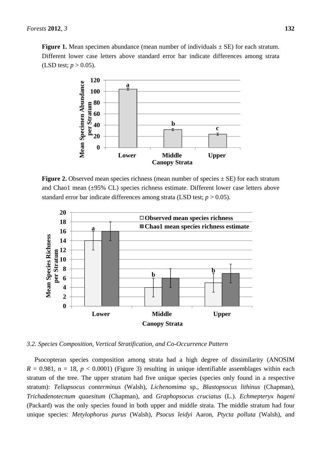**Figure 1.** Mean specimen abundance (mean number of individuals  $\pm$  SE) for each stratum. Different lower case letters above standard error bar indicate differences among strata (LSD test;  $p > 0.05$ ).



**Figure 2.** Observed mean species richness (mean number of species  $\pm$  SE) for each stratum and Chao1 mean (±95% CL) species richness estimate. Different lower case letters above standard error bar indicate differences among strata (LSD test;  $p > 0.05$ ).



*3.2. Species Composition, Vertical Stratification, and Co-Occurrence Pattern* 

Psocopteran species composition among strata had a high degree of dissimilarity (ANOSIM  $R = 0.981$ ,  $n = 18$ ,  $p < 0.0001$ ) (Figure 3) resulting in unique identifiable assemblages within each stratum of the tree. The upper stratum had five unique species (species only found in a respective stratum): *Teliapsocus conterminus* (Walsh), *Lichenomima* sp*.*, *Blastopsocus lithinus* (Chapman), *Trichadenotecnum quaesitum* (Chapman), and *Graphopsocus cruciatus* (L.). *Echmepteryx hageni*  (Packard) was the only species found in both upper and middle strata. The middle stratum had four unique species: *Metylophorus purus* (Walsh), *Psocus leidyi* Aaron*, Ptycta polluta* (Walsh), and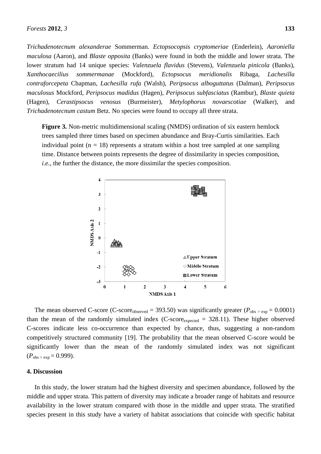*Trichadenotecnum alexanderae* Sommerman*. Ectopsocopsis cryptomeriae* (Enderlein), *Aaroniella maculosa* (Aaron), and *Blaste opposita* (Banks) were found in both the middle and lower strata. The lower stratum had 14 unique species: *Valenzuela flavidus* (Stevens), *Valenzuela pinicola* (Banks), *Xanthocaecilius sommermanae* (Mockford), *Ectopsocus meridionalis* Ribaga, *Lachesilla contraforcepeta* Chapman, *Lachesilla rufa* (Walsh), *Peripsocus alboguttatus* (Dalman), *Peripsocus maculosus* Mockford, *Peripsocus madidus* (Hagen), *Peripsocus subfasciatus* (Rambur), *Blaste quieta* (Hagen), *Cerastipsocus venosus* (Burmeister), *Metylophorus novaescotiae* (Walker), and *Trichadenotecnum castum* Betz. No species were found to occupy all three strata.

**Figure 3.** Non-metric multidimensional scaling (NMDS) ordination of six eastern hemlock trees sampled three times based on specimen abundance and Bray-Curtis similarities. Each individual point ( $n = 18$ ) represents a stratum within a host tree sampled at one sampling time. Distance between points represents the degree of dissimilarity in species composition, *i.e.*, the further the distance, the more dissimilar the species composition.



The mean observed C-score (C-score<sub>observed</sub> = 393.50) was significantly greater ( $P_{obs > exp}$  = 0.0001) than the mean of the randomly simulated index  $(C\text{-score}_{expected} = 328.11)$ . These higher observed C-scores indicate less co-occurrence than expected by chance, thus, suggesting a non-random competitively structured community [19]. The probability that the mean observed C-score would be significantly lower than the mean of the randomly simulated index was not significant  $(P_{\text{obs} < \text{exp}} = 0.999)$ .

#### **4. Discussion**

In this study, the lower stratum had the highest diversity and specimen abundance, followed by the middle and upper strata. This pattern of diversity may indicate a broader range of habitats and resource availability in the lower stratum compared with those in the middle and upper strata. The stratified species present in this study have a variety of habitat associations that coincide with specific habitat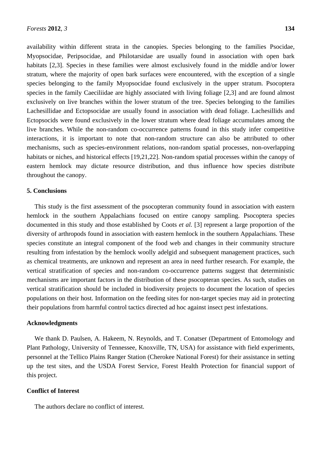availability within different strata in the canopies. Species belonging to the families Psocidae, Myopsocidae, Peripsocidae, and Philotarsidae are usually found in association with open bark habitats [2,3]. Species in these families were almost exclusively found in the middle and/or lower stratum, where the majority of open bark surfaces were encountered, with the exception of a single species belonging to the family Myopsocidae found exclusively in the upper stratum. Psocoptera species in the family Caeciliidae are highly associated with living foliage [2,3] and are found almost exclusively on live branches within the lower stratum of the tree. Species belonging to the families Lachesillidae and Ectopsocidae are usually found in association with dead foliage. Lachesillids and Ectopsocids were found exclusively in the lower stratum where dead foliage accumulates among the live branches. While the non-random co-occurrence patterns found in this study infer competitive interactions, it is important to note that non-random structure can also be attributed to other mechanisms, such as species-environment relations, non-random spatial processes, non-overlapping habitats or niches, and historical effects [19,21,22]. Non-random spatial processes within the canopy of eastern hemlock may dictate resource distribution, and thus influence how species distribute throughout the canopy.

#### **5. Conclusions**

This study is the first assessment of the psocopteran community found in association with eastern hemlock in the southern Appalachians focused on entire canopy sampling. Psocoptera species documented in this study and those established by Coots *et al.* [3] represent a large proportion of the diversity of arthropods found in association with eastern hemlock in the southern Appalachians. These species constitute an integral component of the food web and changes in their community structure resulting from infestation by the hemlock woolly adelgid and subsequent management practices, such as chemical treatments, are unknown and represent an area in need further research. For example, the vertical stratification of species and non-random co-occurrence patterns suggest that deterministic mechanisms are important factors in the distribution of these psocopteran species. As such, studies on vertical stratification should be included in biodiversity projects to document the location of species populations on their host. Information on the feeding sites for non-target species may aid in protecting their populations from harmful control tactics directed ad hoc against insect pest infestations.

#### **Acknowledgments**

We thank D. Paulsen, A. Hakeem, N. Reynolds, and T. Conatser (Department of Entomology and Plant Pathology, University of Tennessee, Knoxville, TN, USA) for assistance with field experiments, personnel at the Tellico Plains Ranger Station (Cherokee National Forest) for their assistance in setting up the test sites, and the USDA Forest Service, Forest Health Protection for financial support of this project.

#### **Conflict of Interest**

The authors declare no conflict of interest.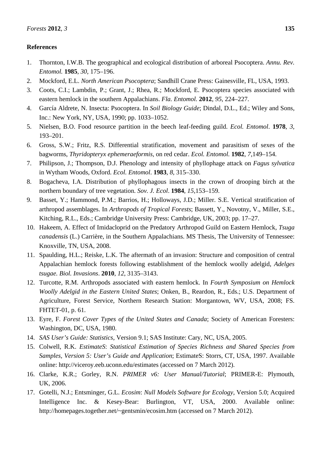# **References**

- 1. Thornton, I.W.B. The geographical and ecological distribution of arboreal Psocoptera. *Annu. Rev. Entomol.* **1985**, *30*, 175–196.
- 2. Mockford, E.L. *North American Psocoptera*; Sandhill Crane Press: Gainesville, FL, USA, 1993.
- 3. Coots, C.I.; Lambdin, P.; Grant, J.; Rhea, R.; Mockford, E. Psocoptera species associated with eastern hemlock in the southern Appalachians. *Fla. Entomol.* **2012**, *95*, 224–227.
- 4. García Aldrete, N. Insecta: Psocoptera. In *Soil Biology Guide*; Dindal, D.L., Ed.; Wiley and Sons, Inc.: New York, NY, USA, 1990; pp. 1033–1052.
- 5. Nielsen, B.O. Food resource partition in the beech leaf-feeding guild. *Ecol. Entomol*. **1978**, *3*, 193–201.
- 6. Gross, S.W.; Fritz, R.S. Differential stratification, movement and parasitism of sexes of the bagworms, *Thyridopteryx ephemeraeformis,* on red cedar. *Ecol. Entomol.* **1982**, *7*,149–154.
- 7. Philipson, J.; Thompson, D.J. Phenology and intensity of phyllophage attack on *Fagus sylvatica* in Wytham Woods, Oxford. *Ecol. Entomol*. **1983**, *8*, 315–330.
- 8. Bogacheva, I.A. Distribution of phyllophagous insects in the crown of drooping birch at the northern boundary of tree vegetation. *Sov. J. Ecol*. **1984**, *15*,153–159.
- 9. Basset, Y.; Hammond, P.M.; Barrios, H.; Holloways, J.D.; Miller. S.E. Vertical stratification of arthropod assemblages. In *Arthropods of Tropical Forests*; Bassett, Y., Novotny, V., Miller, S.E., Kitching, R.L., Eds.; Cambridge University Press: Cambridge, UK, 2003; pp. 17–27.
- 10. Hakeem, A. Effect of Imidacloprid on the Predatory Arthropod Guild on Eastern Hemlock, *Tsuga canadensis* (L.) Carrière, in the Southern Appalachians. MS Thesis, The University of Tennessee: Knoxville, TN, USA, 2008.
- 11. Spaulding, H.L.; Reiske, L.K. The aftermath of an invasion: Structure and composition of central Appalachian hemlock forests following establishment of the hemlock woolly adelgid, *Adelges tsugae. Biol. Invasions*. **2010**, *12*, 3135–3143.
- 12. Turcotte, R.M. Arthropods associated with eastern hemlock. In *Fourth Symposium on Hemlock Woolly Adelgid in the Eastern United States*; Onken, B., Reardon, R., Eds.; U.S. Department of Agriculture, Forest Service, Northern Research Station: Morgantown, WV, USA, 2008; FS. FHTET-01, p. 61.
- 13. Eyre, F. *Forest Cover Types of the United States and Canada*; Society of American Foresters: Washington, DC, USA, 1980.
- 14. *SAS User's Guide: Statistics*, Version 9.1; SAS Institute: Cary, NC, USA, 2005.
- 15. Colwell, R.K. *EstimateS*: *Statistical Estimation of Species Richness and Shared Species from Samples, Version 5: User's Guide and Application*; EstimateS: Storrs, CT, USA, 1997. Available online: http://viceroy.eeb.uconn.edu/estimates (accessed on 7 March 2012).
- 16. Clarke, K.R.; Gorley, R.N. *PRIMER v6: User Manual/Tutorial*; PRIMER-E: Plymouth, UK, 2006.
- 17. Gotelli, N.J.; Entsminger, G.L. *Ecosim*: *Null Models Software for Ecology*, Version 5.0; Acquired Intelligence Inc. & Kesey-Bear: Burlington, VT, USA, 2000. Available online: http://homepages.together.net/~gentsmin/ecosim.htm (accessed on 7 March 2012).